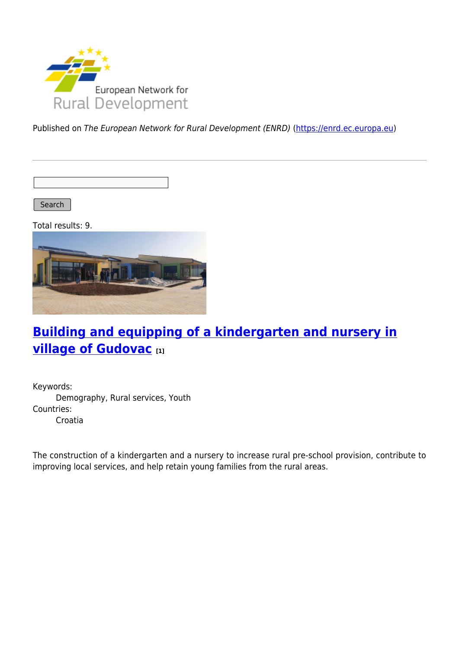

Published on The European Network for Rural Development (ENRD) [\(https://enrd.ec.europa.eu](https://enrd.ec.europa.eu))

Search |

Total results: 9.



# **[Building and equipping of a kindergarten and nursery in](https://enrd.ec.europa.eu/projects-practice/building-and-equipping-kindergarten-and-nursery-village-gudovac_en) [village of Gudovac](https://enrd.ec.europa.eu/projects-practice/building-and-equipping-kindergarten-and-nursery-village-gudovac_en) [1]**

Keywords: Demography, Rural services, Youth Countries: Croatia

The construction of a kindergarten and a nursery to increase rural pre-school provision, contribute to improving local services, and help retain young families from the rural areas.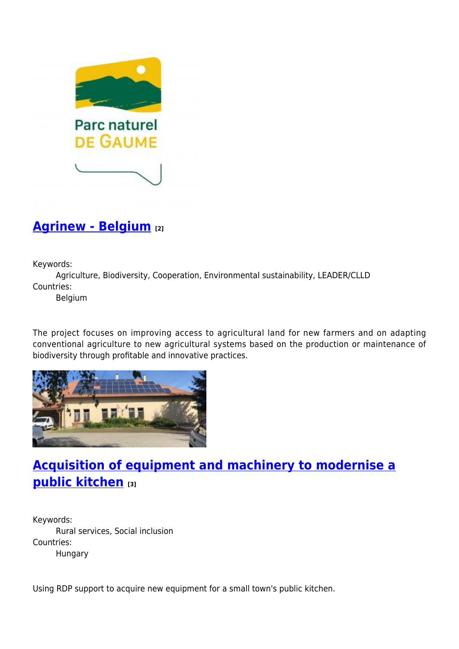

### **[Agrinew - Belgium](https://enrd.ec.europa.eu/projects-practice/agrinew-belgium_en) [2]**

Keywords:

Agriculture, Biodiversity, Cooperation, Environmental sustainability, LEADER/CLLD Countries:

Belgium

The project focuses on improving access to agricultural land for new farmers and on adapting conventional agriculture to new agricultural systems based on the production or maintenance of biodiversity through profitable and innovative practices.



# **[Acquisition of equipment and machinery to modernise a](https://enrd.ec.europa.eu/projects-practice/acquisition-equipment-and-machinery-modernise-public-kitchen_en) [public kitchen](https://enrd.ec.europa.eu/projects-practice/acquisition-equipment-and-machinery-modernise-public-kitchen_en) [3]**

Keywords: Rural services, Social inclusion Countries: Hungary

Using RDP support to acquire new equipment for a small town's public kitchen.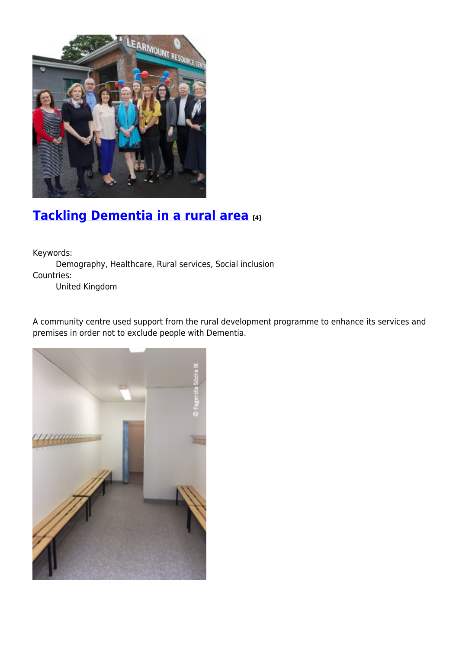

# **[Tackling Dementia in a rural area](https://enrd.ec.europa.eu/projects-practice/tackling-dementia-rural-area_en) [4]**

Keywords:

Demography, Healthcare, Rural services, Social inclusion Countries:

United Kingdom

A community centre used support from the rural development programme to enhance its services and premises in order not to exclude people with Dementia.

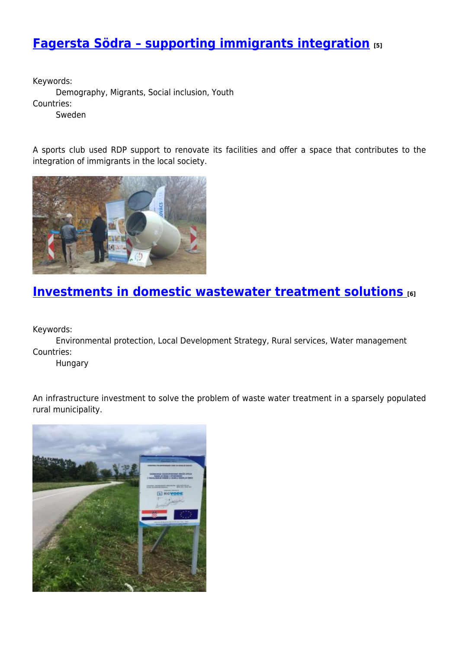## **[Fagersta Södra – supporting immigrants integration](https://enrd.ec.europa.eu/projects-practice/fagersta-sodra-supporting-immigrants-integration_en) [5]**

Keywords: Demography, Migrants, Social inclusion, Youth Countries: Sweden

A sports club used RDP support to renovate its facilities and offer a space that contributes to the integration of immigrants in the local society.



#### **[Investments in domestic wastewater treatment solutions](https://enrd.ec.europa.eu/projects-practice/investments-domestic-wastewater-treatment-solutions_en) [6]**

Keywords:

Environmental protection, Local Development Strategy, Rural services, Water management Countries:

Hungary

An infrastructure investment to solve the problem of waste water treatment in a sparsely populated rural municipality.

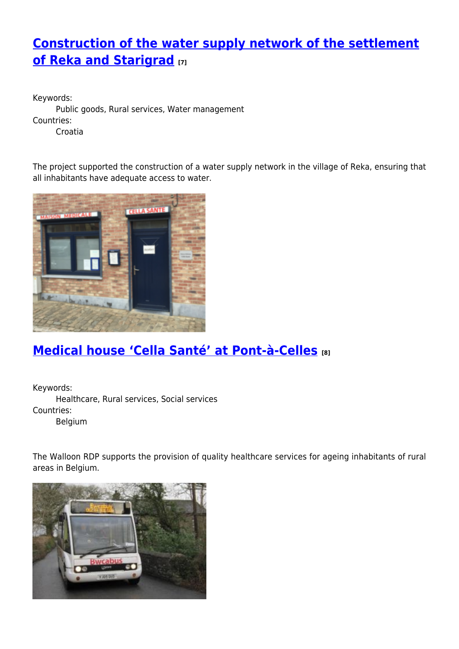# **[Construction of the water supply network of the settlement](https://enrd.ec.europa.eu/projects-practice/construction-water-supply-network-settlement-reka-and-starigrad_en) [of Reka and Starigrad](https://enrd.ec.europa.eu/projects-practice/construction-water-supply-network-settlement-reka-and-starigrad_en) [7]**

Keywords: Public goods, Rural services, Water management Countries: Croatia

The project supported the construction of a water supply network in the village of Reka, ensuring that all inhabitants have adequate access to water.



# **[Medical house 'Cella Santé' at Pont-à-Celles](https://enrd.ec.europa.eu/projects-practice/medical-house-cella-sante-pont-celles_en) [8]**

Keywords: Healthcare, Rural services, Social services Countries: Belgium

The Walloon RDP supports the provision of quality healthcare services for ageing inhabitants of rural areas in Belgium.